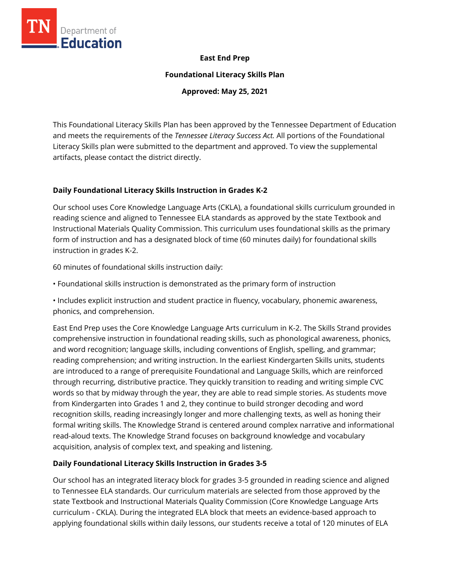

### **East End Prep**

**Foundational Literacy Skills Plan**

**Approved: May 25, 2021**

This Foundational Literacy Skills Plan has been approved by the Tennessee Department of Education and meets the requirements of the *Tennessee Literacy Success Act.* All portions of the Foundational Literacy Skills plan were submitted to the department and approved. To view the supplemental artifacts, please contact the district directly.

### **Daily Foundational Literacy Skills Instruction in Grades K-2**

Our school uses Core Knowledge Language Arts (CKLA), a foundational skills curriculum grounded in reading science and aligned to Tennessee ELA standards as approved by the state Textbook and Instructional Materials Quality Commission. This curriculum uses foundational skills as the primary form of instruction and has a designated block of time (60 minutes daily) for foundational skills instruction in grades K-2.

60 minutes of foundational skills instruction daily:

• Foundational skills instruction is demonstrated as the primary form of instruction

• Includes explicit instruction and student practice in fluency, vocabulary, phonemic awareness, phonics, and comprehension.

East End Prep uses the Core Knowledge Language Arts curriculum in K-2. The Skills Strand provides comprehensive instruction in foundational reading skills, such as phonological awareness, phonics, and word recognition; language skills, including conventions of English, spelling, and grammar; reading comprehension; and writing instruction. In the earliest Kindergarten Skills units, students are introduced to a range of prerequisite Foundational and Language Skills, which are reinforced through recurring, distributive practice. They quickly transition to reading and writing simple CVC words so that by midway through the year, they are able to read simple stories. As students move from Kindergarten into Grades 1 and 2, they continue to build stronger decoding and word recognition skills, reading increasingly longer and more challenging texts, as well as honing their formal writing skills. The Knowledge Strand is centered around complex narrative and informational read-aloud texts. The Knowledge Strand focuses on background knowledge and vocabulary acquisition, analysis of complex text, and speaking and listening.

## **Daily Foundational Literacy Skills Instruction in Grades 3-5**

Our school has an integrated literacy block for grades 3-5 grounded in reading science and aligned to Tennessee ELA standards. Our curriculum materials are selected from those approved by the state Textbook and Instructional Materials Quality Commission (Core Knowledge Language Arts curriculum - CKLA). During the integrated ELA block that meets an evidence-based approach to applying foundational skills within daily lessons, our students receive a total of 120 minutes of ELA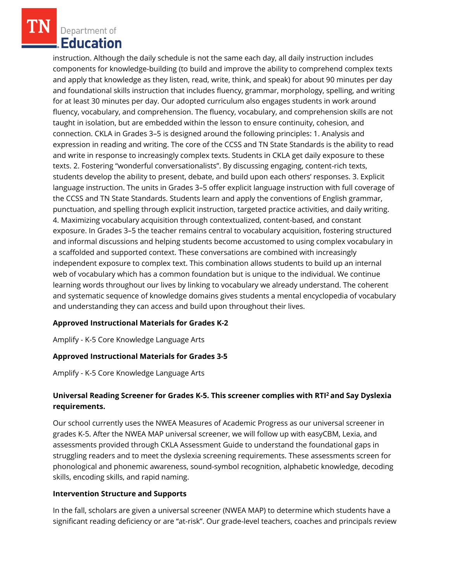Department of Education

instruction. Although the daily schedule is not the same each day, all daily instruction includes components for knowledge-building (to build and improve the ability to comprehend complex texts and apply that knowledge as they listen, read, write, think, and speak) for about 90 minutes per day and foundational skills instruction that includes fluency, grammar, morphology, spelling, and writing for at least 30 minutes per day. Our adopted curriculum also engages students in work around fluency, vocabulary, and comprehension. The fluency, vocabulary, and comprehension skills are not taught in isolation, but are embedded within the lesson to ensure continuity, cohesion, and connection. CKLA in Grades 3–5 is designed around the following principles: 1. Analysis and expression in reading and writing. The core of the CCSS and TN State Standards is the ability to read and write in response to increasingly complex texts. Students in CKLA get daily exposure to these texts. 2. Fostering "wonderful conversationalists". By discussing engaging, content-rich texts, students develop the ability to present, debate, and build upon each others' responses. 3. Explicit language instruction. The units in Grades 3–5 offer explicit language instruction with full coverage of the CCSS and TN State Standards. Students learn and apply the conventions of English grammar, punctuation, and spelling through explicit instruction, targeted practice activities, and daily writing. 4. Maximizing vocabulary acquisition through contextualized, content-based, and constant exposure. In Grades 3–5 the teacher remains central to vocabulary acquisition, fostering structured and informal discussions and helping students become accustomed to using complex vocabulary in a scaffolded and supported context. These conversations are combined with increasingly independent exposure to complex text. This combination allows students to build up an internal web of vocabulary which has a common foundation but is unique to the individual. We continue learning words throughout our lives by linking to vocabulary we already understand. The coherent and systematic sequence of knowledge domains gives students a mental encyclopedia of vocabulary and understanding they can access and build upon throughout their lives.

### **Approved Instructional Materials for Grades K-2**

Amplify - K-5 Core Knowledge Language Arts

### **Approved Instructional Materials for Grades 3-5**

Amplify - K-5 Core Knowledge Language Arts

## **Universal Reading Screener for Grades K-5. This screener complies with RTI<sup>2</sup>and Say Dyslexia requirements.**

Our school currently uses the NWEA Measures of Academic Progress as our universal screener in grades K-5. After the NWEA MAP universal screener, we will follow up with easyCBM, Lexia, and assessments provided through CKLA Assessment Guide to understand the foundational gaps in struggling readers and to meet the dyslexia screening requirements. These assessments screen for phonological and phonemic awareness, sound-symbol recognition, alphabetic knowledge, decoding skills, encoding skills, and rapid naming.

#### **Intervention Structure and Supports**

In the fall, scholars are given a universal screener (NWEA MAP) to determine which students have a significant reading deficiency or are "at-risk". Our grade-level teachers, coaches and principals review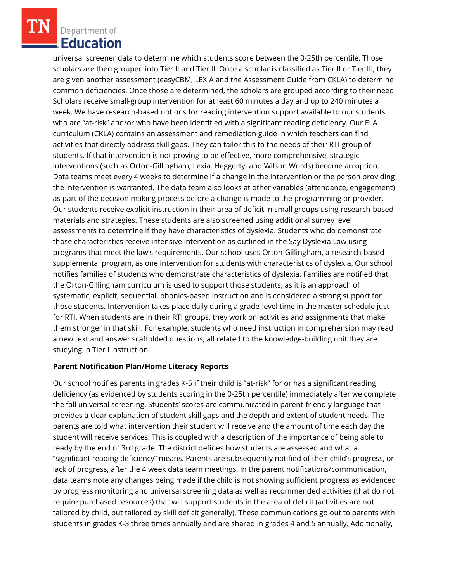Department of Education

universal screener data to determine which students score between the 0-25th percentile. Those scholars are then grouped into Tier II and Tier II. Once a scholar is classified as Tier II or Tier III, they are given another assessment (easyCBM, LEXIA and the Assessment Guide from CKLA) to determine common deficiencies. Once those are determined, the scholars are grouped according to their need. Scholars receive small-group intervention for at least 60 minutes a day and up to 240 minutes a week. We have research-based options for reading intervention support available to our students who are "at-risk" and/or who have been identified with a significant reading deficiency. Our ELA curriculum (CKLA) contains an assessment and remediation guide in which teachers can find activities that directly address skill gaps. They can tailor this to the needs of their RTI group of students. If that intervention is not proving to be effective, more comprehensive, strategic interventions (such as Orton-Gillingham, Lexia, Heggerty, and Wilson Words) become an option. Data teams meet every 4 weeks to determine if a change in the intervention or the person providing the intervention is warranted. The data team also looks at other variables (attendance, engagement) as part of the decision making process before a change is made to the programming or provider. Our students receive explicit instruction in their area of deficit in small groups using research-based materials and strategies. These students are also screened using additional survey level assessments to determine if they have characteristics of dyslexia. Students who do demonstrate those characteristics receive intensive intervention as outlined in the Say Dyslexia Law using programs that meet the law's requirements. Our school uses Orton-Gillingham, a research-based supplemental program, as one intervention for students with characteristics of dyslexia. Our school notifies families of students who demonstrate characteristics of dyslexia. Families are notified that the Orton-Gillingham curriculum is used to support those students, as it is an approach of systematic, explicit, sequential, phonics-based instruction and is considered a strong support for those students. Intervention takes place daily during a grade-level time in the master schedule just for RTI. When students are in their RTI groups, they work on activities and assignments that make them stronger in that skill. For example, students who need instruction in comprehension may read a new text and answer scaffolded questions, all related to the knowledge-building unit they are studying in Tier I instruction.

### **Parent Notification Plan/Home Literacy Reports**

Our school notifies parents in grades K-5 if their child is "at-risk" for or has a significant reading deficiency (as evidenced by students scoring in the 0-25th percentile) immediately after we complete the fall universal screening. Students' scores are communicated in parent-friendly language that provides a clear explanation of student skill gaps and the depth and extent of student needs. The parents are told what intervention their student will receive and the amount of time each day the student will receive services. This is coupled with a description of the importance of being able to ready by the end of 3rd grade. The district defines how students are assessed and what a "significant reading deficiency" means. Parents are subsequently notified of their child's progress, or lack of progress, after the 4 week data team meetings. In the parent notifications/communication, data teams note any changes being made if the child is not showing sufficient progress as evidenced by progress monitoring and universal screening data as well as recommended activities (that do not require purchased resources) that will support students in the area of deficit (activities are not tailored by child, but tailored by skill deficit generally). These communications go out to parents with students in grades K-3 three times annually and are shared in grades 4 and 5 annually. Additionally,